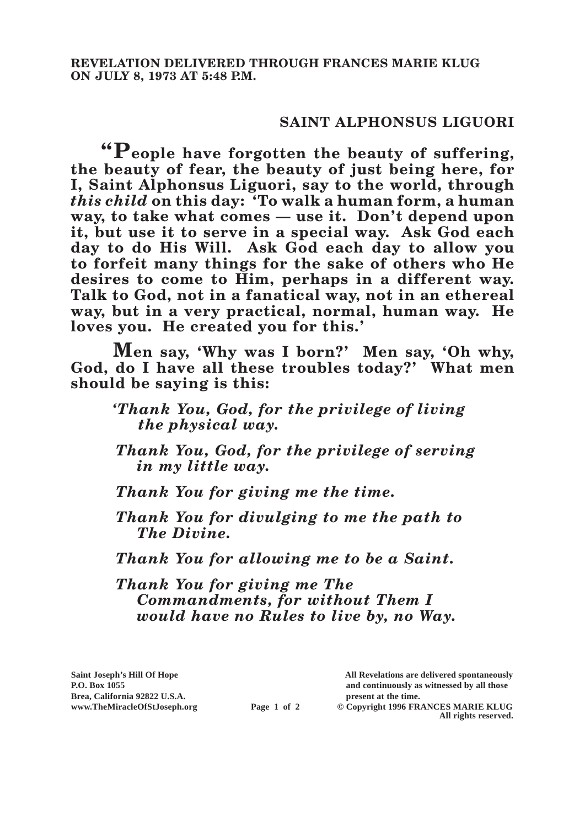## **SAINT ALPHONSUS LIGUORI**

**"People have forgotten the beauty of suffering, the beauty of fear, the beauty of just being here, for I, Saint Alphonsus Liguori, say to the world, through**  *this child* **on this day: 'To walk a human form, a human way, to take what comes — use it. Don't depend upon it, but use it to serve in a special way. Ask God each day to do His Will. Ask God each day to allow you to forfeit many things for the sake of others who He desires to come to Him, perhaps in a different way. Talk to God, not in a fanatical way, not in an ethereal way, but in a very practical, normal, human way. He loves you. He created you for this.'**

**Men say, 'Why was I born?' Men say, 'Oh why, God, do I have all these troubles today?' What men should be saying is this:**

## *'Thank You, God, for the privilege of living the physical way.*

*Thank You, God, for the privilege of serving in my little way.*

*Thank You for giving me the time.*

*Thank You for divulging to me the path to The Divine.*

*Thank You for allowing me to be a Saint.*

*Thank You for giving me The Commandments, for without Them I would have no Rules to live by, no Way.*

**Saint Joseph's Hill Of Hope All Revelations are delivered spontaneously P.O. Box 1055 and continuously as witnessed by all those** 

**All rights reserved.**